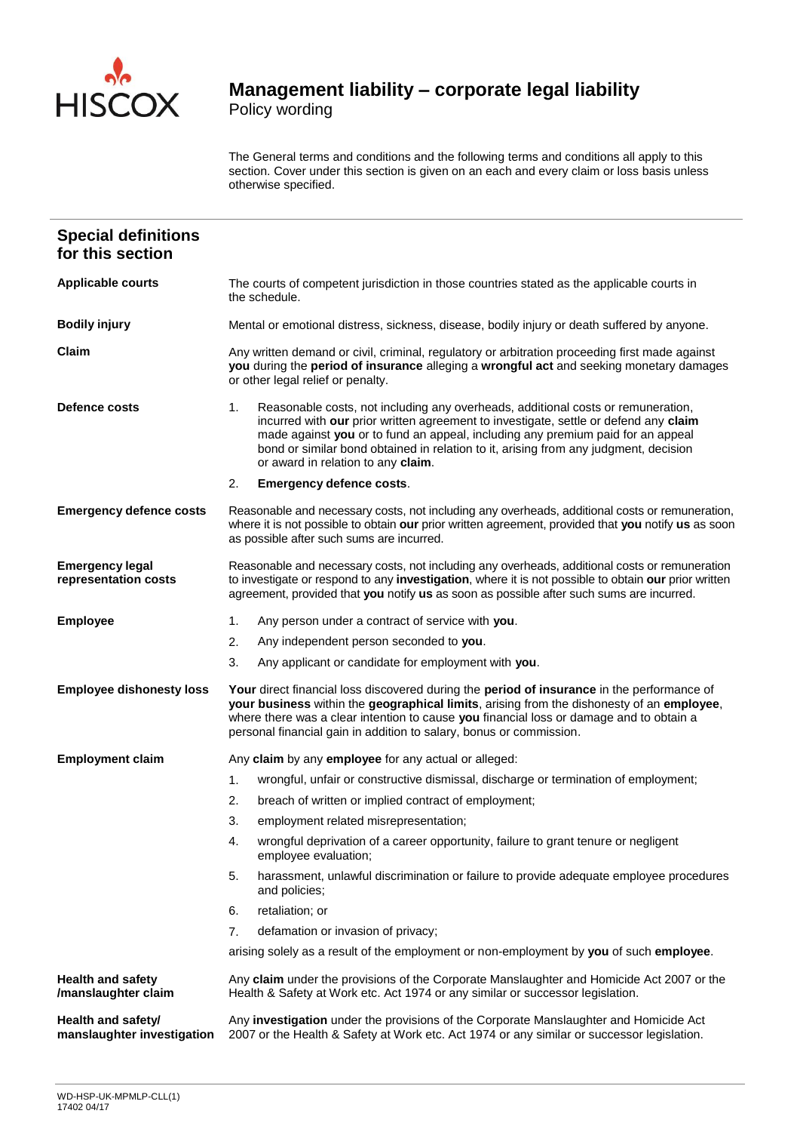

Policy wording

The General terms and conditions and the following terms and conditions all apply to this section. Cover under this section is given on an each and every claim or loss basis unless otherwise specified.

| <b>Special definitions</b><br>for this section   |                                                                                                                                                                                                                                                                                                                                                                                                 |  |  |
|--------------------------------------------------|-------------------------------------------------------------------------------------------------------------------------------------------------------------------------------------------------------------------------------------------------------------------------------------------------------------------------------------------------------------------------------------------------|--|--|
| <b>Applicable courts</b>                         | The courts of competent jurisdiction in those countries stated as the applicable courts in<br>the schedule.                                                                                                                                                                                                                                                                                     |  |  |
| <b>Bodily injury</b>                             | Mental or emotional distress, sickness, disease, bodily injury or death suffered by anyone.                                                                                                                                                                                                                                                                                                     |  |  |
| Claim                                            | Any written demand or civil, criminal, regulatory or arbitration proceeding first made against<br>you during the period of insurance alleging a wrongful act and seeking monetary damages<br>or other legal relief or penalty.                                                                                                                                                                  |  |  |
| Defence costs                                    | Reasonable costs, not including any overheads, additional costs or remuneration,<br>1.<br>incurred with our prior written agreement to investigate, settle or defend any claim<br>made against you or to fund an appeal, including any premium paid for an appeal<br>bond or similar bond obtained in relation to it, arising from any judgment, decision<br>or award in relation to any claim. |  |  |
|                                                  | 2.<br><b>Emergency defence costs.</b>                                                                                                                                                                                                                                                                                                                                                           |  |  |
| <b>Emergency defence costs</b>                   | Reasonable and necessary costs, not including any overheads, additional costs or remuneration,<br>where it is not possible to obtain our prior written agreement, provided that you notify us as soon<br>as possible after such sums are incurred.                                                                                                                                              |  |  |
| <b>Emergency legal</b><br>representation costs   | Reasonable and necessary costs, not including any overheads, additional costs or remuneration<br>to investigate or respond to any investigation, where it is not possible to obtain our prior written<br>agreement, provided that you notify us as soon as possible after such sums are incurred.                                                                                               |  |  |
| <b>Employee</b>                                  | Any person under a contract of service with you.<br>1.                                                                                                                                                                                                                                                                                                                                          |  |  |
|                                                  | Any independent person seconded to you.<br>2.                                                                                                                                                                                                                                                                                                                                                   |  |  |
|                                                  | 3.<br>Any applicant or candidate for employment with you.                                                                                                                                                                                                                                                                                                                                       |  |  |
| <b>Employee dishonesty loss</b>                  | Your direct financial loss discovered during the period of insurance in the performance of<br>your business within the geographical limits, arising from the dishonesty of an employee,<br>where there was a clear intention to cause you financial loss or damage and to obtain a<br>personal financial gain in addition to salary, bonus or commission.                                       |  |  |
| <b>Employment claim</b>                          | Any claim by any employee for any actual or alleged:                                                                                                                                                                                                                                                                                                                                            |  |  |
|                                                  | 1 <sub>1</sub><br>wrongful, unfair or constructive dismissal, discharge or termination of employment;                                                                                                                                                                                                                                                                                           |  |  |
|                                                  | 2.<br>breach of written or implied contract of employment;                                                                                                                                                                                                                                                                                                                                      |  |  |
|                                                  | employment related misrepresentation;<br>3.                                                                                                                                                                                                                                                                                                                                                     |  |  |
|                                                  | wrongful deprivation of a career opportunity, failure to grant tenure or negligent<br>4.<br>employee evaluation;                                                                                                                                                                                                                                                                                |  |  |
|                                                  | 5.<br>harassment, unlawful discrimination or failure to provide adequate employee procedures<br>and policies;                                                                                                                                                                                                                                                                                   |  |  |
|                                                  | retaliation; or<br>6.                                                                                                                                                                                                                                                                                                                                                                           |  |  |
|                                                  | 7.<br>defamation or invasion of privacy;                                                                                                                                                                                                                                                                                                                                                        |  |  |
|                                                  | arising solely as a result of the employment or non-employment by you of such employee.                                                                                                                                                                                                                                                                                                         |  |  |
| <b>Health and safety</b><br>/manslaughter claim  | Any claim under the provisions of the Corporate Manslaughter and Homicide Act 2007 or the<br>Health & Safety at Work etc. Act 1974 or any similar or successor legislation.                                                                                                                                                                                                                     |  |  |
| Health and safety/<br>manslaughter investigation | Any investigation under the provisions of the Corporate Manslaughter and Homicide Act<br>2007 or the Health & Safety at Work etc. Act 1974 or any similar or successor legislation.                                                                                                                                                                                                             |  |  |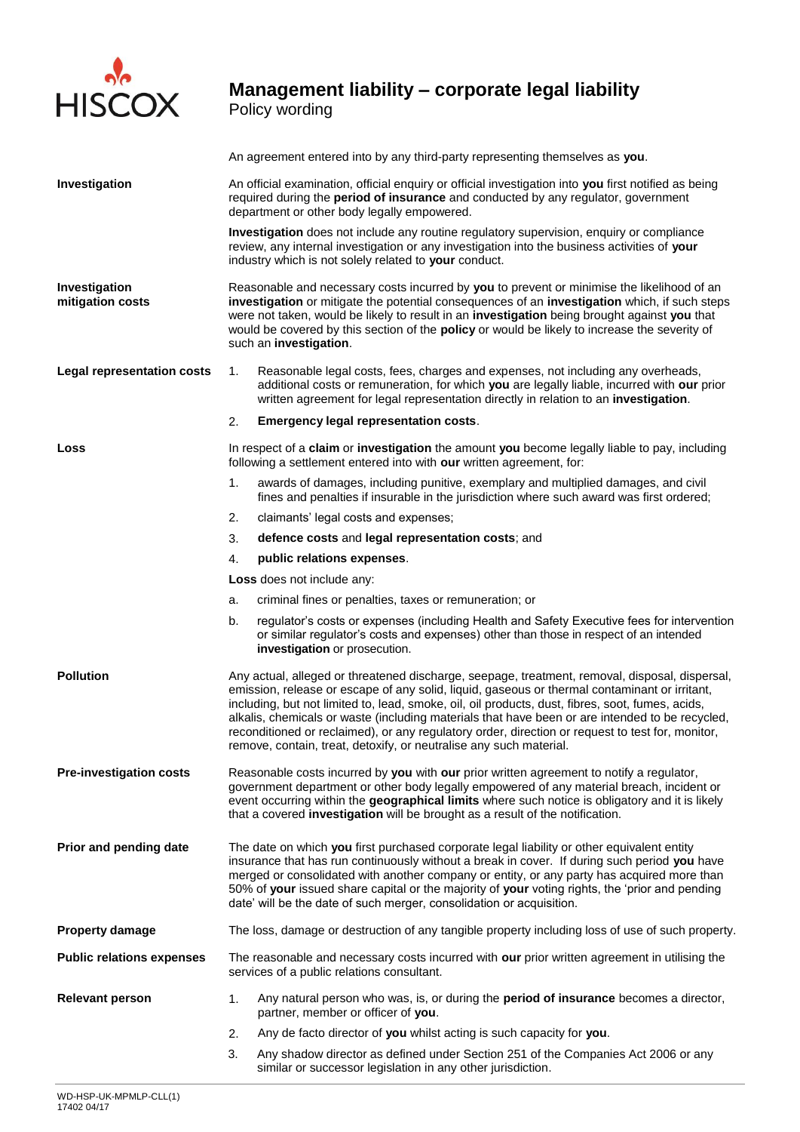

Policy wording

|                                   | An agreement entered into by any third-party representing themselves as you.                                                                                                                                                                                                                                                                                                                                                                                                                                                                                                     |                                                                                                                                                                                                                                                                         |  |  |
|-----------------------------------|----------------------------------------------------------------------------------------------------------------------------------------------------------------------------------------------------------------------------------------------------------------------------------------------------------------------------------------------------------------------------------------------------------------------------------------------------------------------------------------------------------------------------------------------------------------------------------|-------------------------------------------------------------------------------------------------------------------------------------------------------------------------------------------------------------------------------------------------------------------------|--|--|
| Investigation                     | An official examination, official enquiry or official investigation into you first notified as being<br>required during the period of insurance and conducted by any regulator, government<br>department or other body legally empowered.                                                                                                                                                                                                                                                                                                                                        |                                                                                                                                                                                                                                                                         |  |  |
|                                   | Investigation does not include any routine regulatory supervision, enquiry or compliance<br>review, any internal investigation or any investigation into the business activities of your<br>industry which is not solely related to your conduct.                                                                                                                                                                                                                                                                                                                                |                                                                                                                                                                                                                                                                         |  |  |
| Investigation<br>mitigation costs | Reasonable and necessary costs incurred by you to prevent or minimise the likelihood of an<br>investigation or mitigate the potential consequences of an investigation which, if such steps<br>were not taken, would be likely to result in an investigation being brought against you that<br>would be covered by this section of the <b>policy</b> or would be likely to increase the severity of<br>such an investigation.                                                                                                                                                    |                                                                                                                                                                                                                                                                         |  |  |
| <b>Legal representation costs</b> | 1.                                                                                                                                                                                                                                                                                                                                                                                                                                                                                                                                                                               | Reasonable legal costs, fees, charges and expenses, not including any overheads,<br>additional costs or remuneration, for which you are legally liable, incurred with our prior<br>written agreement for legal representation directly in relation to an investigation. |  |  |
|                                   | 2.                                                                                                                                                                                                                                                                                                                                                                                                                                                                                                                                                                               | <b>Emergency legal representation costs.</b>                                                                                                                                                                                                                            |  |  |
| Loss                              |                                                                                                                                                                                                                                                                                                                                                                                                                                                                                                                                                                                  | In respect of a claim or investigation the amount you become legally liable to pay, including<br>following a settlement entered into with our written agreement, for:                                                                                                   |  |  |
|                                   | 1.                                                                                                                                                                                                                                                                                                                                                                                                                                                                                                                                                                               | awards of damages, including punitive, exemplary and multiplied damages, and civil<br>fines and penalties if insurable in the jurisdiction where such award was first ordered;                                                                                          |  |  |
|                                   | 2.                                                                                                                                                                                                                                                                                                                                                                                                                                                                                                                                                                               | claimants' legal costs and expenses;                                                                                                                                                                                                                                    |  |  |
|                                   | 3.                                                                                                                                                                                                                                                                                                                                                                                                                                                                                                                                                                               | defence costs and legal representation costs; and                                                                                                                                                                                                                       |  |  |
|                                   | 4.                                                                                                                                                                                                                                                                                                                                                                                                                                                                                                                                                                               | public relations expenses.                                                                                                                                                                                                                                              |  |  |
|                                   |                                                                                                                                                                                                                                                                                                                                                                                                                                                                                                                                                                                  | <b>Loss</b> does not include any:                                                                                                                                                                                                                                       |  |  |
|                                   | a.                                                                                                                                                                                                                                                                                                                                                                                                                                                                                                                                                                               | criminal fines or penalties, taxes or remuneration; or                                                                                                                                                                                                                  |  |  |
|                                   | b.                                                                                                                                                                                                                                                                                                                                                                                                                                                                                                                                                                               | regulator's costs or expenses (including Health and Safety Executive fees for intervention<br>or similar regulator's costs and expenses) other than those in respect of an intended<br>investigation or prosecution.                                                    |  |  |
| <b>Pollution</b>                  | Any actual, alleged or threatened discharge, seepage, treatment, removal, disposal, dispersal,<br>emission, release or escape of any solid, liquid, gaseous or thermal contaminant or irritant,<br>including, but not limited to, lead, smoke, oil, oil products, dust, fibres, soot, fumes, acids,<br>alkalis, chemicals or waste (including materials that have been or are intended to be recycled,<br>reconditioned or reclaimed), or any regulatory order, direction or request to test for, monitor,<br>remove, contain, treat, detoxify, or neutralise any such material. |                                                                                                                                                                                                                                                                         |  |  |
| <b>Pre-investigation costs</b>    | Reasonable costs incurred by you with our prior written agreement to notify a regulator,<br>government department or other body legally empowered of any material breach, incident or<br>event occurring within the geographical limits where such notice is obligatory and it is likely<br>that a covered investigation will be brought as a result of the notification.                                                                                                                                                                                                        |                                                                                                                                                                                                                                                                         |  |  |
| Prior and pending date            | The date on which you first purchased corporate legal liability or other equivalent entity<br>insurance that has run continuously without a break in cover. If during such period you have<br>merged or consolidated with another company or entity, or any party has acquired more than<br>50% of your issued share capital or the majority of your voting rights, the 'prior and pending<br>date' will be the date of such merger, consolidation or acquisition.                                                                                                               |                                                                                                                                                                                                                                                                         |  |  |
| <b>Property damage</b>            |                                                                                                                                                                                                                                                                                                                                                                                                                                                                                                                                                                                  | The loss, damage or destruction of any tangible property including loss of use of such property.                                                                                                                                                                        |  |  |
| <b>Public relations expenses</b>  |                                                                                                                                                                                                                                                                                                                                                                                                                                                                                                                                                                                  | The reasonable and necessary costs incurred with our prior written agreement in utilising the<br>services of a public relations consultant.                                                                                                                             |  |  |
| <b>Relevant person</b>            | 1.                                                                                                                                                                                                                                                                                                                                                                                                                                                                                                                                                                               | Any natural person who was, is, or during the period of insurance becomes a director,<br>partner, member or officer of you.                                                                                                                                             |  |  |
|                                   | 2.                                                                                                                                                                                                                                                                                                                                                                                                                                                                                                                                                                               | Any de facto director of you whilst acting is such capacity for you.                                                                                                                                                                                                    |  |  |
|                                   | 3.                                                                                                                                                                                                                                                                                                                                                                                                                                                                                                                                                                               | Any shadow director as defined under Section 251 of the Companies Act 2006 or any<br>similar or successor legislation in any other jurisdiction.                                                                                                                        |  |  |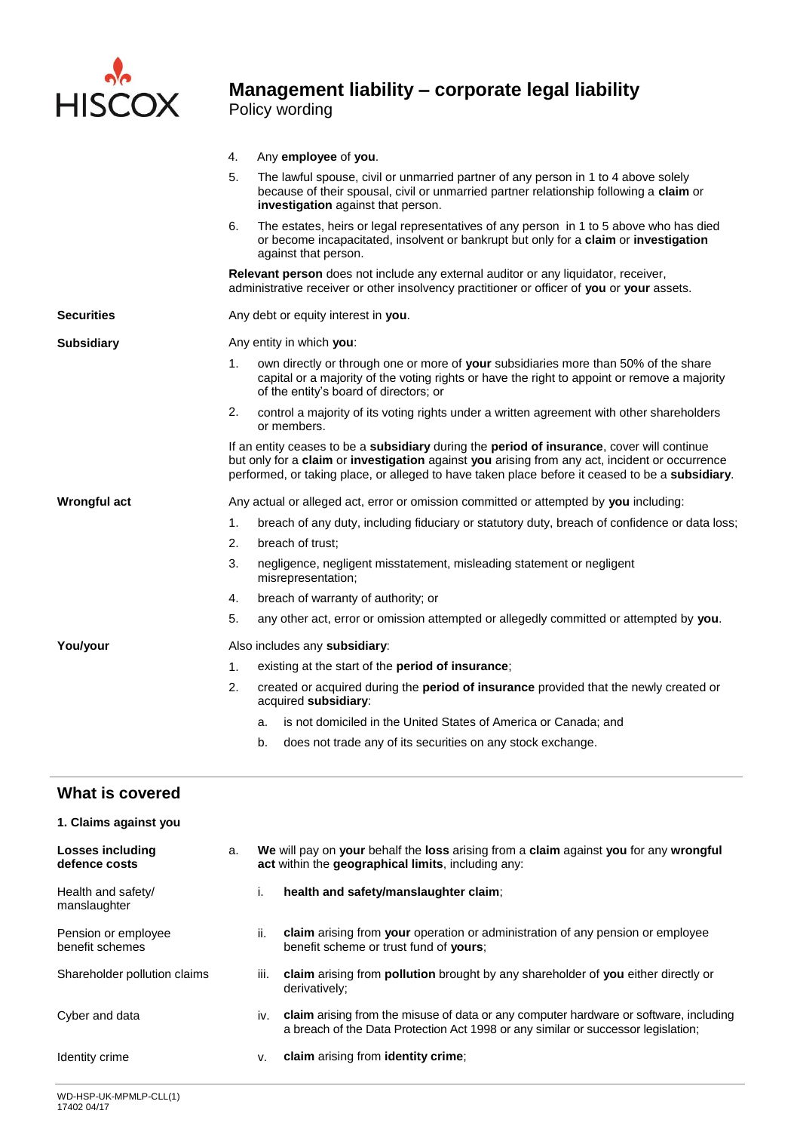

### **Management liability – corporate legal liability**  Policy wording

|                                          | 4.             | Any employee of you.                                                                                                                                                                                                                                                                            |  |  |  |  |  |
|------------------------------------------|----------------|-------------------------------------------------------------------------------------------------------------------------------------------------------------------------------------------------------------------------------------------------------------------------------------------------|--|--|--|--|--|
|                                          | 5.             | The lawful spouse, civil or unmarried partner of any person in 1 to 4 above solely<br>because of their spousal, civil or unmarried partner relationship following a claim or<br>investigation against that person.                                                                              |  |  |  |  |  |
|                                          | 6.             | The estates, heirs or legal representatives of any person in 1 to 5 above who has died<br>or become incapacitated, insolvent or bankrupt but only for a claim or investigation<br>against that person.                                                                                          |  |  |  |  |  |
|                                          |                | Relevant person does not include any external auditor or any liquidator, receiver,<br>administrative receiver or other insolvency practitioner or officer of you or your assets.                                                                                                                |  |  |  |  |  |
| <b>Securities</b>                        |                | Any debt or equity interest in you.                                                                                                                                                                                                                                                             |  |  |  |  |  |
| <b>Subsidiary</b>                        |                | Any entity in which you:                                                                                                                                                                                                                                                                        |  |  |  |  |  |
|                                          | 1.             | own directly or through one or more of your subsidiaries more than 50% of the share<br>capital or a majority of the voting rights or have the right to appoint or remove a majority<br>of the entity's board of directors; or                                                                   |  |  |  |  |  |
|                                          | 2.             | control a majority of its voting rights under a written agreement with other shareholders<br>or members.                                                                                                                                                                                        |  |  |  |  |  |
|                                          |                | If an entity ceases to be a subsidiary during the period of insurance, cover will continue<br>but only for a claim or investigation against you arising from any act, incident or occurrence<br>performed, or taking place, or alleged to have taken place before it ceased to be a subsidiary. |  |  |  |  |  |
| Wrongful act                             |                | Any actual or alleged act, error or omission committed or attempted by you including:                                                                                                                                                                                                           |  |  |  |  |  |
|                                          | 1 <sub>1</sub> | breach of any duty, including fiduciary or statutory duty, breach of confidence or data loss;                                                                                                                                                                                                   |  |  |  |  |  |
|                                          | 2.             | breach of trust;                                                                                                                                                                                                                                                                                |  |  |  |  |  |
|                                          | 3.             | negligence, negligent misstatement, misleading statement or negligent<br>misrepresentation;                                                                                                                                                                                                     |  |  |  |  |  |
|                                          | 4.             | breach of warranty of authority; or                                                                                                                                                                                                                                                             |  |  |  |  |  |
|                                          | 5.             | any other act, error or omission attempted or allegedly committed or attempted by you.                                                                                                                                                                                                          |  |  |  |  |  |
| You/your                                 |                | Also includes any subsidiary:                                                                                                                                                                                                                                                                   |  |  |  |  |  |
|                                          | 1.             | existing at the start of the <b>period of insurance</b> ;                                                                                                                                                                                                                                       |  |  |  |  |  |
|                                          | 2.             | created or acquired during the period of insurance provided that the newly created or<br>acquired subsidiary:                                                                                                                                                                                   |  |  |  |  |  |
|                                          |                | is not domiciled in the United States of America or Canada; and<br>a.                                                                                                                                                                                                                           |  |  |  |  |  |
|                                          |                | b.<br>does not trade any of its securities on any stock exchange.                                                                                                                                                                                                                               |  |  |  |  |  |
| What is covered                          |                |                                                                                                                                                                                                                                                                                                 |  |  |  |  |  |
| 1. Claims against you                    |                |                                                                                                                                                                                                                                                                                                 |  |  |  |  |  |
| <b>Losses including</b><br>defence costs | a.             | We will pay on your behalf the loss arising from a claim against you for any wrongful<br>act within the geographical limits, including any:                                                                                                                                                     |  |  |  |  |  |
| Health and safety/<br>manslaughter       |                | health and safety/manslaughter claim;<br>i.                                                                                                                                                                                                                                                     |  |  |  |  |  |
| Pension or employee<br>benefit schemes   |                | claim arising from your operation or administration of any pension or employee<br>ii.<br>benefit scheme or trust fund of yours;                                                                                                                                                                 |  |  |  |  |  |

- Cyber and data **including** iv. **claim** arising from the misuse of data or any computer hardware or software, including a breach of the Data Protection Act 1998 or any similar or successor legislation;
- Identity crime **v. claim** arising from **identity crime**;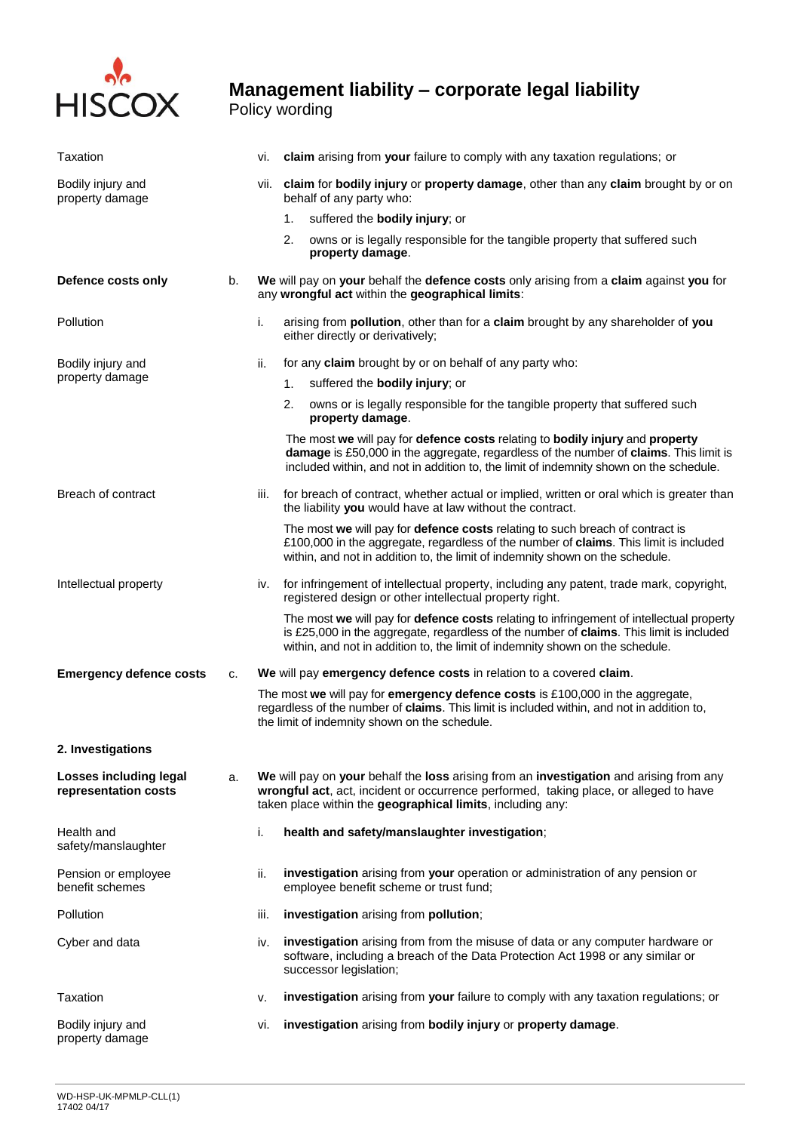

Policy wording

| Taxation                                       |    | vi.  | claim arising from your failure to comply with any taxation regulations; or                                                                                                                                                                                          |
|------------------------------------------------|----|------|----------------------------------------------------------------------------------------------------------------------------------------------------------------------------------------------------------------------------------------------------------------------|
| Bodily injury and<br>property damage           |    |      | vii. claim for bodily injury or property damage, other than any claim brought by or on<br>behalf of any party who:                                                                                                                                                   |
|                                                |    |      | suffered the bodily injury; or<br>1.                                                                                                                                                                                                                                 |
|                                                |    |      | 2.<br>owns or is legally responsible for the tangible property that suffered such<br>property damage.                                                                                                                                                                |
| Defence costs only                             | b. |      | We will pay on your behalf the defence costs only arising from a claim against you for<br>any wrongful act within the geographical limits:                                                                                                                           |
| Pollution                                      |    | i.   | arising from pollution, other than for a claim brought by any shareholder of you<br>either directly or derivatively;                                                                                                                                                 |
| Bodily injury and                              |    | ii.  | for any claim brought by or on behalf of any party who:                                                                                                                                                                                                              |
| property damage                                |    |      | suffered the bodily injury; or<br>1.                                                                                                                                                                                                                                 |
|                                                |    |      | owns or is legally responsible for the tangible property that suffered such<br>2.<br>property damage.                                                                                                                                                                |
|                                                |    |      | The most we will pay for defence costs relating to bodily injury and property<br>damage is £50,000 in the aggregate, regardless of the number of claims. This limit is<br>included within, and not in addition to, the limit of indemnity shown on the schedule.     |
| Breach of contract                             |    | iii. | for breach of contract, whether actual or implied, written or oral which is greater than<br>the liability you would have at law without the contract.                                                                                                                |
|                                                |    |      | The most we will pay for defence costs relating to such breach of contract is<br>£100,000 in the aggregate, regardless of the number of claims. This limit is included<br>within, and not in addition to, the limit of indemnity shown on the schedule.              |
| Intellectual property                          |    |      | iv. for infringement of intellectual property, including any patent, trade mark, copyright,<br>registered design or other intellectual property right.                                                                                                               |
|                                                |    |      | The most we will pay for defence costs relating to infringement of intellectual property<br>is £25,000 in the aggregate, regardless of the number of claims. This limit is included<br>within, and not in addition to, the limit of indemnity shown on the schedule. |
| <b>Emergency defence costs</b>                 | c. |      | We will pay emergency defence costs in relation to a covered claim.                                                                                                                                                                                                  |
|                                                |    |      | The most we will pay for emergency defence costs is £100,000 in the aggregate,<br>regardless of the number of claims. This limit is included within, and not in addition to,<br>the limit of indemnity shown on the schedule.                                        |
| 2. Investigations                              |    |      |                                                                                                                                                                                                                                                                      |
| Losses including legal<br>representation costs | a. |      | We will pay on your behalf the loss arising from an investigation and arising from any<br>wrongful act, act, incident or occurrence performed, taking place, or alleged to have<br>taken place within the geographical limits, including any:                        |
| Health and<br>safety/manslaughter              |    | j.   | health and safety/manslaughter investigation;                                                                                                                                                                                                                        |
| Pension or employee<br>benefit schemes         |    | ii.  | investigation arising from your operation or administration of any pension or<br>employee benefit scheme or trust fund;                                                                                                                                              |
| Pollution                                      |    | iii. | investigation arising from pollution;                                                                                                                                                                                                                                |
| Cyber and data                                 |    | iv.  | investigation arising from from the misuse of data or any computer hardware or<br>software, including a breach of the Data Protection Act 1998 or any similar or<br>successor legislation;                                                                           |
| Taxation                                       |    | ۷.   | investigation arising from your failure to comply with any taxation regulations; or                                                                                                                                                                                  |
| Bodily injury and<br>property damage           |    | vi.  | investigation arising from bodily injury or property damage.                                                                                                                                                                                                         |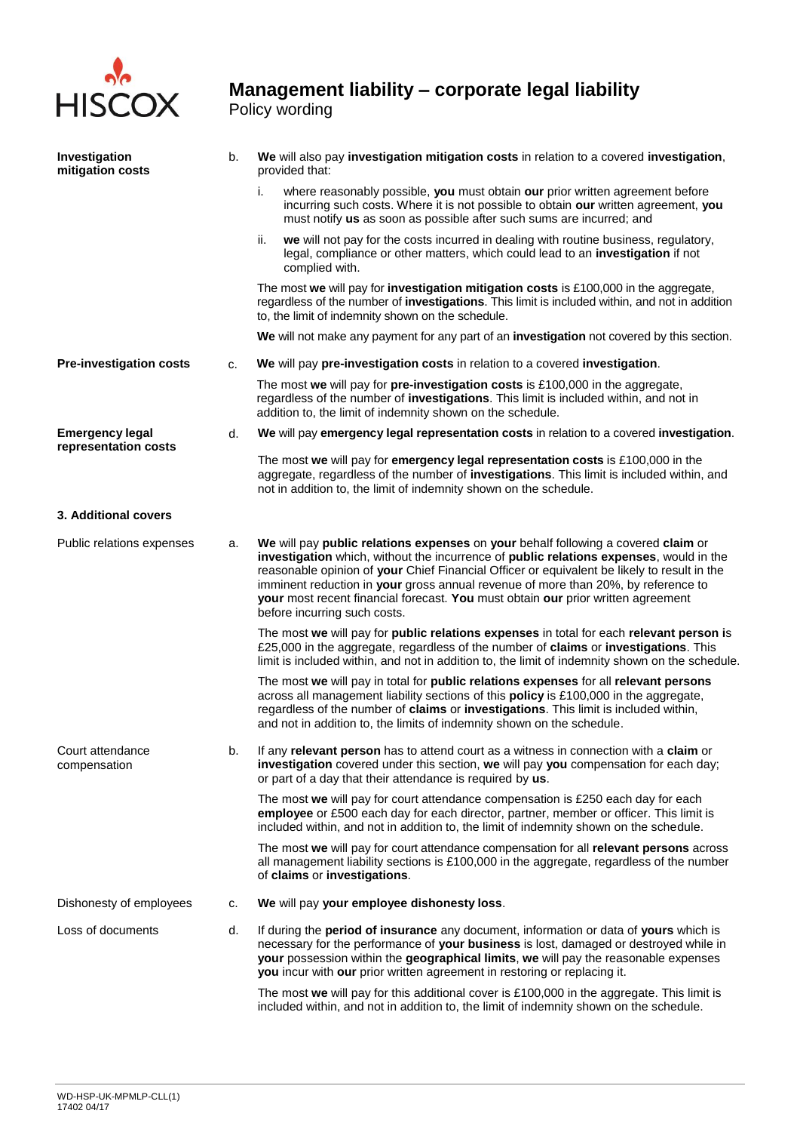

#### **Management liability – corporate legal liability**  Policy wording

**Investigation mitigation costs** b. **We** will also pay **investigation mitigation costs** in relation to a covered **investigation**, provided that: i. where reasonably possible, **you** must obtain **our** prior written agreement before incurring such costs. Where it is not possible to obtain **our** written agreement, **you**  must notify **us** as soon as possible after such sums are incurred; and ii. **we** will not pay for the costs incurred in dealing with routine business, regulatory, legal, compliance or other matters, which could lead to an **investigation** if not complied with. The most **we** will pay for **investigation mitigation costs** is £100,000 in the aggregate, regardless of the number of **investigations**. This limit is included within, and not in addition to, the limit of indemnity shown on the schedule. **We** will not make any payment for any part of an **investigation** not covered by this section. **Pre-investigation costs** c. **We** will pay **pre-investigation costs** in relation to a covered **investigation**. The most **we** will pay for **pre-investigation costs** is £100,000 in the aggregate, regardless of the number of **investigations**. This limit is included within, and not in addition to, the limit of indemnity shown on the schedule. **Emergency legal representation costs** d. **We** will pay **emergency legal representation costs** in relation to a covered **investigation**. The most **we** will pay for **emergency legal representation costs** is £100,000 in the aggregate, regardless of the number of **investigations**. This limit is included within, and not in addition to, the limit of indemnity shown on the schedule. **3. Additional covers** Public relations expenses a. **We** will pay **public relations expenses** on **your** behalf following a covered **claim** or **investigation** which, without the incurrence of **public relations expenses**, would in the reasonable opinion of **your** Chief Financial Officer or equivalent be likely to result in the imminent reduction in **your** gross annual revenue of more than 20%, by reference to **your** most recent financial forecast. **You** must obtain **our** prior written agreement before incurring such costs. The most **we** will pay for **public relations expenses** in total for each **relevant person i**s £25,000 in the aggregate, regardless of the number of **claims** or **investigations**. This limit is included within, and not in addition to, the limit of indemnity shown on the schedule. The most **we** will pay in total for **public relations expenses** for all **relevant persons** across all management liability sections of this **policy** is £100,000 in the aggregate, regardless of the number of **claims** or **investigations**. This limit is included within, and not in addition to, the limits of indemnity shown on the schedule. Court attendance compensation b. If any **relevant person** has to attend court as a witness in connection with a **claim** or **investigation** covered under this section, **we** will pay **you** compensation for each day; or part of a day that their attendance is required by **us**. The most **we** will pay for court attendance compensation is £250 each day for each **employee** or £500 each day for each director, partner, member or officer. This limit is included within, and not in addition to, the limit of indemnity shown on the schedule. The most **we** will pay for court attendance compensation for all **relevant persons** across all management liability sections is £100,000 in the aggregate, regardless of the number of **claims** or **investigations**. Dishonesty of employees c. We will pay your employee dishonesty loss. Loss of documents d. If during the **period of insurance** any document, information or data of **yours** which is necessary for the performance of **your business** is lost, damaged or destroyed while in **your** possession within the **geographical limits**, **we** will pay the reasonable expenses **you** incur with **our** prior written agreement in restoring or replacing it. The most **we** will pay for this additional cover is £100,000 in the aggregate. This limit is included within, and not in addition to, the limit of indemnity shown on the schedule.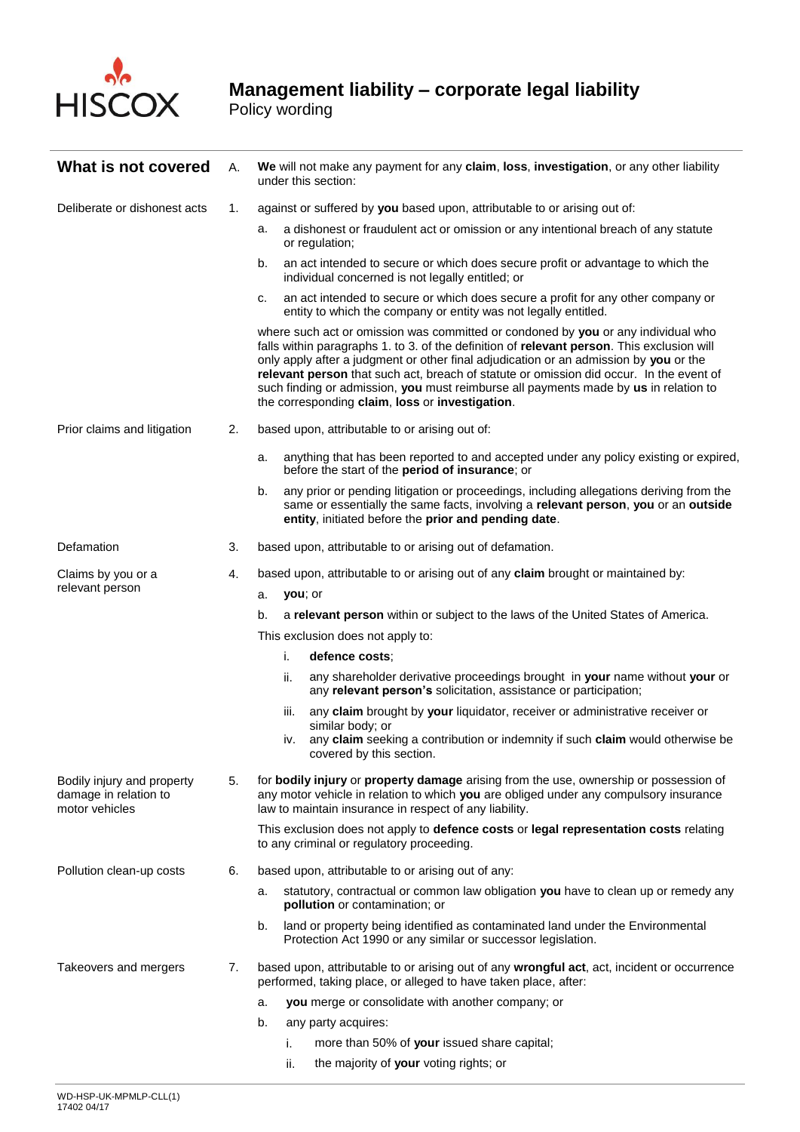

 $\sim$ 

| What is not covered                                                   | А.                                                           | We will not make any payment for any claim, loss, investigation, or any other liability<br>under this section:                                                 |                                                                                                                                                                                                                                                                                                                                                                                                                                                                                                                |  |  |
|-----------------------------------------------------------------------|--------------------------------------------------------------|----------------------------------------------------------------------------------------------------------------------------------------------------------------|----------------------------------------------------------------------------------------------------------------------------------------------------------------------------------------------------------------------------------------------------------------------------------------------------------------------------------------------------------------------------------------------------------------------------------------------------------------------------------------------------------------|--|--|
| Deliberate or dishonest acts                                          | 1.                                                           | against or suffered by you based upon, attributable to or arising out of:                                                                                      |                                                                                                                                                                                                                                                                                                                                                                                                                                                                                                                |  |  |
|                                                                       |                                                              | а.                                                                                                                                                             | a dishonest or fraudulent act or omission or any intentional breach of any statute<br>or regulation;                                                                                                                                                                                                                                                                                                                                                                                                           |  |  |
|                                                                       |                                                              | b.                                                                                                                                                             | an act intended to secure or which does secure profit or advantage to which the<br>individual concerned is not legally entitled; or                                                                                                                                                                                                                                                                                                                                                                            |  |  |
|                                                                       |                                                              | c.                                                                                                                                                             | an act intended to secure or which does secure a profit for any other company or<br>entity to which the company or entity was not legally entitled.                                                                                                                                                                                                                                                                                                                                                            |  |  |
|                                                                       |                                                              |                                                                                                                                                                | where such act or omission was committed or condoned by you or any individual who<br>falls within paragraphs 1. to 3. of the definition of relevant person. This exclusion will<br>only apply after a judgment or other final adjudication or an admission by you or the<br>relevant person that such act, breach of statute or omission did occur. In the event of<br>such finding or admission, you must reimburse all payments made by us in relation to<br>the corresponding claim, loss or investigation. |  |  |
| Prior claims and litigation                                           | 2.                                                           |                                                                                                                                                                | based upon, attributable to or arising out of:                                                                                                                                                                                                                                                                                                                                                                                                                                                                 |  |  |
|                                                                       |                                                              | a.                                                                                                                                                             | anything that has been reported to and accepted under any policy existing or expired,<br>before the start of the period of insurance; or                                                                                                                                                                                                                                                                                                                                                                       |  |  |
|                                                                       |                                                              | b.                                                                                                                                                             | any prior or pending litigation or proceedings, including allegations deriving from the<br>same or essentially the same facts, involving a relevant person, you or an outside<br>entity, initiated before the prior and pending date.                                                                                                                                                                                                                                                                          |  |  |
| Defamation                                                            | 3.                                                           | based upon, attributable to or arising out of defamation.                                                                                                      |                                                                                                                                                                                                                                                                                                                                                                                                                                                                                                                |  |  |
| Claims by you or a                                                    | 4.                                                           |                                                                                                                                                                | based upon, attributable to or arising out of any claim brought or maintained by:                                                                                                                                                                                                                                                                                                                                                                                                                              |  |  |
| relevant person                                                       |                                                              | you; or<br>a.                                                                                                                                                  |                                                                                                                                                                                                                                                                                                                                                                                                                                                                                                                |  |  |
|                                                                       |                                                              | b.                                                                                                                                                             | a relevant person within or subject to the laws of the United States of America.                                                                                                                                                                                                                                                                                                                                                                                                                               |  |  |
|                                                                       |                                                              |                                                                                                                                                                | This exclusion does not apply to:                                                                                                                                                                                                                                                                                                                                                                                                                                                                              |  |  |
|                                                                       |                                                              | i.                                                                                                                                                             | defence costs:                                                                                                                                                                                                                                                                                                                                                                                                                                                                                                 |  |  |
|                                                                       |                                                              | ii.                                                                                                                                                            | any shareholder derivative proceedings brought in your name without your or<br>any relevant person's solicitation, assistance or participation;                                                                                                                                                                                                                                                                                                                                                                |  |  |
|                                                                       |                                                              | iii.                                                                                                                                                           | any claim brought by your liquidator, receiver or administrative receiver or                                                                                                                                                                                                                                                                                                                                                                                                                                   |  |  |
|                                                                       |                                                              | iv.                                                                                                                                                            | similar body; or<br>any claim seeking a contribution or indemnity if such claim would otherwise be<br>covered by this section.                                                                                                                                                                                                                                                                                                                                                                                 |  |  |
| Bodily injury and property<br>damage in relation to<br>motor vehicles | 5.<br>law to maintain insurance in respect of any liability. |                                                                                                                                                                | for bodily injury or property damage arising from the use, ownership or possession of<br>any motor vehicle in relation to which you are obliged under any compulsory insurance                                                                                                                                                                                                                                                                                                                                 |  |  |
|                                                                       |                                                              |                                                                                                                                                                | This exclusion does not apply to defence costs or legal representation costs relating<br>to any criminal or regulatory proceeding.                                                                                                                                                                                                                                                                                                                                                                             |  |  |
| Pollution clean-up costs                                              | 6.                                                           |                                                                                                                                                                | based upon, attributable to or arising out of any:                                                                                                                                                                                                                                                                                                                                                                                                                                                             |  |  |
|                                                                       |                                                              | а.                                                                                                                                                             | statutory, contractual or common law obligation you have to clean up or remedy any<br>pollution or contamination; or                                                                                                                                                                                                                                                                                                                                                                                           |  |  |
|                                                                       |                                                              | b.                                                                                                                                                             | land or property being identified as contaminated land under the Environmental<br>Protection Act 1990 or any similar or successor legislation.                                                                                                                                                                                                                                                                                                                                                                 |  |  |
| Takeovers and mergers                                                 | 7.                                                           | based upon, attributable to or arising out of any wrongful act, act, incident or occurrence<br>performed, taking place, or alleged to have taken place, after: |                                                                                                                                                                                                                                                                                                                                                                                                                                                                                                                |  |  |
|                                                                       |                                                              | a.                                                                                                                                                             | you merge or consolidate with another company; or                                                                                                                                                                                                                                                                                                                                                                                                                                                              |  |  |
|                                                                       |                                                              | b.                                                                                                                                                             | any party acquires:                                                                                                                                                                                                                                                                                                                                                                                                                                                                                            |  |  |
|                                                                       |                                                              | i.                                                                                                                                                             | more than 50% of your issued share capital;                                                                                                                                                                                                                                                                                                                                                                                                                                                                    |  |  |
|                                                                       |                                                              | ii.                                                                                                                                                            | the majority of your voting rights; or                                                                                                                                                                                                                                                                                                                                                                                                                                                                         |  |  |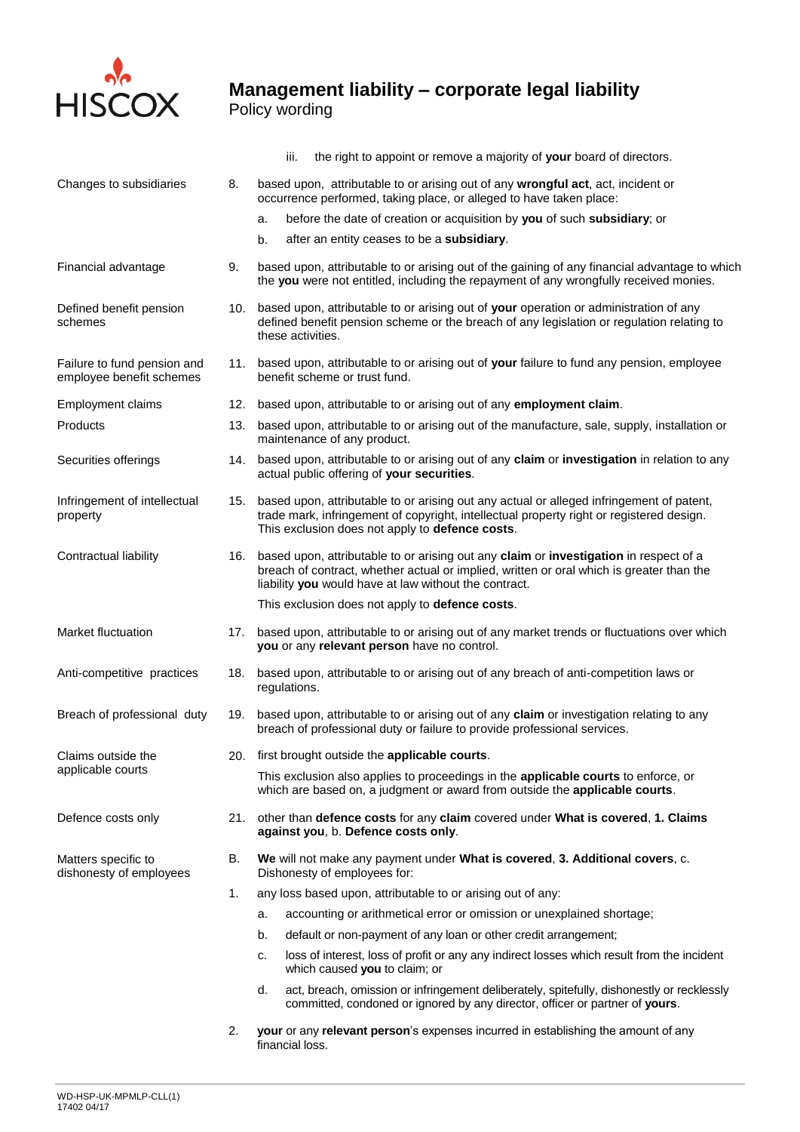

Policy wording

|                                                         |     | the right to appoint or remove a majority of your board of directors.<br>iii.                                                                                                                                                                  |  |  |
|---------------------------------------------------------|-----|------------------------------------------------------------------------------------------------------------------------------------------------------------------------------------------------------------------------------------------------|--|--|
| Changes to subsidiaries                                 | 8.  | based upon, attributable to or arising out of any wrongful act, act, incident or<br>occurrence performed, taking place, or alleged to have taken place:                                                                                        |  |  |
|                                                         |     | before the date of creation or acquisition by you of such subsidiary; or<br>a.                                                                                                                                                                 |  |  |
|                                                         |     | after an entity ceases to be a subsidiary.<br>b.                                                                                                                                                                                               |  |  |
| Financial advantage                                     | 9.  | based upon, attributable to or arising out of the gaining of any financial advantage to which<br>the you were not entitled, including the repayment of any wrongfully received monies.                                                         |  |  |
| Defined benefit pension<br>schemes                      |     | 10. based upon, attributable to or arising out of your operation or administration of any<br>defined benefit pension scheme or the breach of any legislation or regulation relating to<br>these activities.                                    |  |  |
| Failure to fund pension and<br>employee benefit schemes |     | 11. based upon, attributable to or arising out of your failure to fund any pension, employee<br>benefit scheme or trust fund.                                                                                                                  |  |  |
| <b>Employment claims</b>                                | 12. | based upon, attributable to or arising out of any employment claim.                                                                                                                                                                            |  |  |
| Products                                                | 13. | based upon, attributable to or arising out of the manufacture, sale, supply, installation or<br>maintenance of any product.                                                                                                                    |  |  |
| Securities offerings                                    |     | 14. based upon, attributable to or arising out of any claim or investigation in relation to any<br>actual public offering of your securities.                                                                                                  |  |  |
| Infringement of intellectual<br>property                | 15. | based upon, attributable to or arising out any actual or alleged infringement of patent,<br>trade mark, infringement of copyright, intellectual property right or registered design.<br>This exclusion does not apply to defence costs.        |  |  |
| Contractual liability                                   |     | 16. based upon, attributable to or arising out any claim or investigation in respect of a<br>breach of contract, whether actual or implied, written or oral which is greater than the<br>liability you would have at law without the contract. |  |  |
|                                                         |     | This exclusion does not apply to defence costs.                                                                                                                                                                                                |  |  |
| Market fluctuation                                      |     | 17. based upon, attributable to or arising out of any market trends or fluctuations over which<br>you or any relevant person have no control.                                                                                                  |  |  |
| Anti-competitive practices                              | 18. | based upon, attributable to or arising out of any breach of anti-competition laws or<br>regulations.                                                                                                                                           |  |  |
| Breach of professional duty                             | 19. | based upon, attributable to or arising out of any claim or investigation relating to any<br>breach of professional duty or failure to provide professional services.                                                                           |  |  |
| Claims outside the                                      |     | 20. first brought outside the applicable courts.                                                                                                                                                                                               |  |  |
| applicable courts                                       |     | This exclusion also applies to proceedings in the applicable courts to enforce, or<br>which are based on, a judgment or award from outside the applicable courts.                                                                              |  |  |
| Defence costs only                                      | 21. | other than defence costs for any claim covered under What is covered, 1. Claims<br>against you, b. Defence costs only.                                                                                                                         |  |  |
| Matters specific to<br>dishonesty of employees          | В.  | We will not make any payment under What is covered, 3. Additional covers, c.<br>Dishonesty of employees for:                                                                                                                                   |  |  |
|                                                         | 1.  | any loss based upon, attributable to or arising out of any:                                                                                                                                                                                    |  |  |
|                                                         |     | accounting or arithmetical error or omission or unexplained shortage;<br>a.                                                                                                                                                                    |  |  |
|                                                         |     | b.<br>default or non-payment of any loan or other credit arrangement;                                                                                                                                                                          |  |  |
|                                                         |     | loss of interest, loss of profit or any any indirect losses which result from the incident<br>c.<br>which caused you to claim; or                                                                                                              |  |  |
|                                                         |     | d.<br>act, breach, omission or infringement deliberately, spitefully, dishonestly or recklessly<br>committed, condoned or ignored by any director, officer or partner of yours.                                                                |  |  |
|                                                         | 2.  | your or any relevant person's expenses incurred in establishing the amount of any<br>financial loss.                                                                                                                                           |  |  |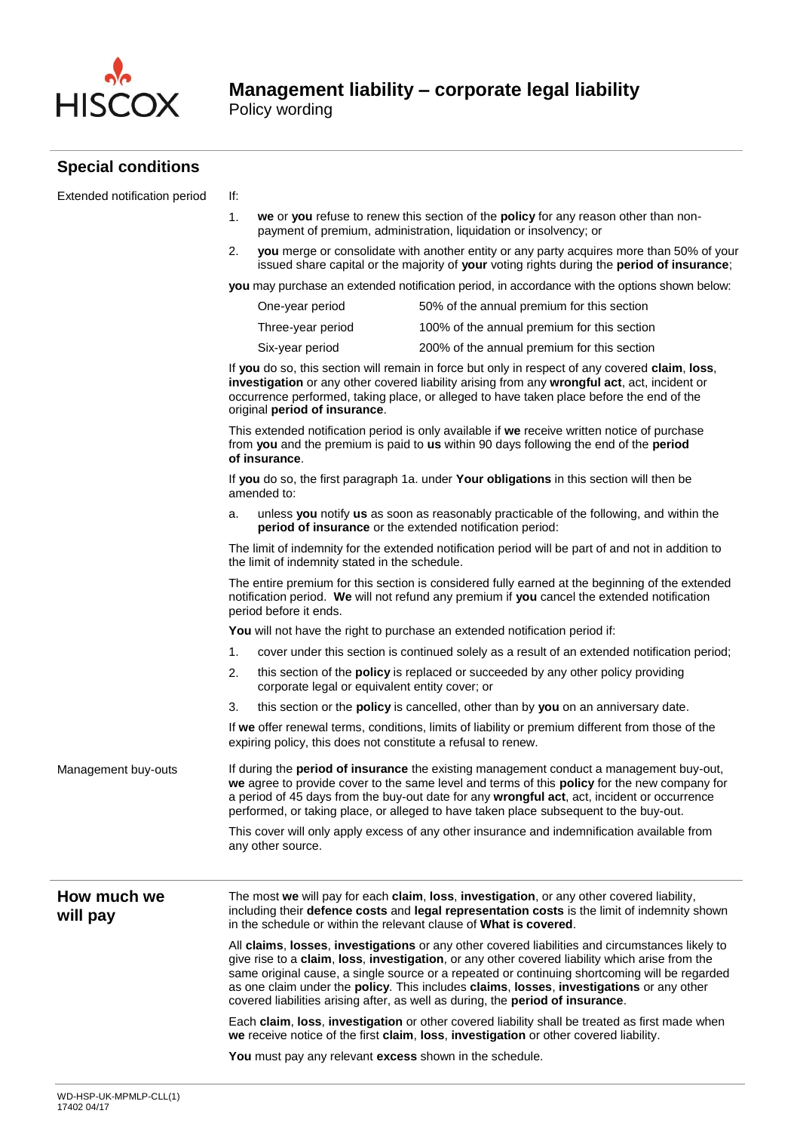

Policy wording

#### **Special conditions**

| Extended notification period | lf: |
|------------------------------|-----|
|------------------------------|-----|

- 1. **we** or **you** refuse to renew this section of the **policy** for any reason other than nonpayment of premium, administration, liquidation or insolvency; or
- 2. **you** merge or consolidate with another entity or any party acquires more than 50% of your issued share capital or the majority of **your** voting rights during the **period of insurance**;

**you** may purchase an extended notification period, in accordance with the options shown below:

| One-year period   | 50% of the annual premium for this section  |
|-------------------|---------------------------------------------|
| Three-year period | 100% of the annual premium for this section |
| Six-year period   | 200% of the annual premium for this section |

If **you** do so, this section will remain in force but only in respect of any covered **claim**, **loss**, **investigation** or any other covered liability arising from any **wrongful act**, act, incident or occurrence performed, taking place, or alleged to have taken place before the end of the original **period of insurance**.

This extended notification period is only available if **we** receive written notice of purchase from **you** and the premium is paid to **us** within 90 days following the end of the **period of insurance**.

If **you** do so, the first paragraph 1a. under **Your obligations** in this section will then be amended to:

a. unless **you** notify **us** as soon as reasonably practicable of the following, and within the **period of insurance** or the extended notification period:

The limit of indemnity for the extended notification period will be part of and not in addition to the limit of indemnity stated in the schedule.

The entire premium for this section is considered fully earned at the beginning of the extended notification period. **We** will not refund any premium if **you** cancel the extended notification period before it ends.

**You** will not have the right to purchase an extended notification period if:

- 1. cover under this section is continued solely as a result of an extended notification period;
- 2. this section of the **policy** is replaced or succeeded by any other policy providing corporate legal or equivalent entity cover; or
- 3. this section or the **policy** is cancelled, other than by **you** on an anniversary date.

If **we** offer renewal terms, conditions, limits of liability or premium different from those of the expiring policy, this does not constitute a refusal to renew.

Management buy-outs If during the **period of insurance** the existing management conduct a management buy-out, **we** agree to provide cover to the same level and terms of this **policy** for the new company for a period of 45 days from the buy-out date for any **wrongful act**, act, incident or occurrence performed, or taking place, or alleged to have taken place subsequent to the buy-out.

> This cover will only apply excess of any other insurance and indemnification available from any other source.

#### **How much we will pay**

The most **we** will pay for each **claim**, **loss**, **investigation**, or any other covered liability, including their **defence costs** and **legal representation costs** is the limit of indemnity shown in the schedule or within the relevant clause of **What is covered**.

All **claims**, **losses**, **investigations** or any other covered liabilities and circumstances likely to give rise to a **claim**, **loss**, **investigation**, or any other covered liability which arise from the same original cause, a single source or a repeated or continuing shortcoming will be regarded as one claim under the **policy**. This includes **claims**, **losses**, **investigations** or any other covered liabilities arising after, as well as during, the **period of insurance**.

Each **claim**, **loss**, **investigation** or other covered liability shall be treated as first made when **we** receive notice of the first **claim**, **loss**, **investigation** or other covered liability.

**You** must pay any relevant **excess** shown in the schedule.